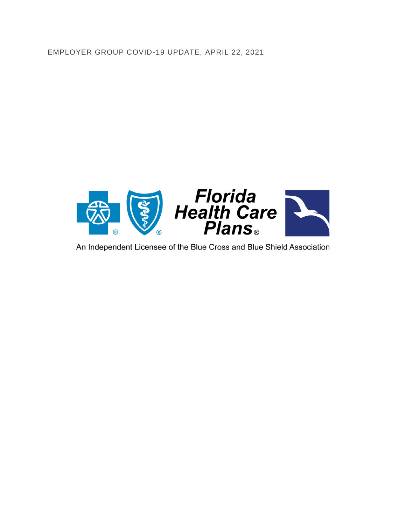EMPLOYER GROUP COVID-19 UPDATE, APRIL 22, 2021



An Independent Licensee of the Blue Cross and Blue Shield Association